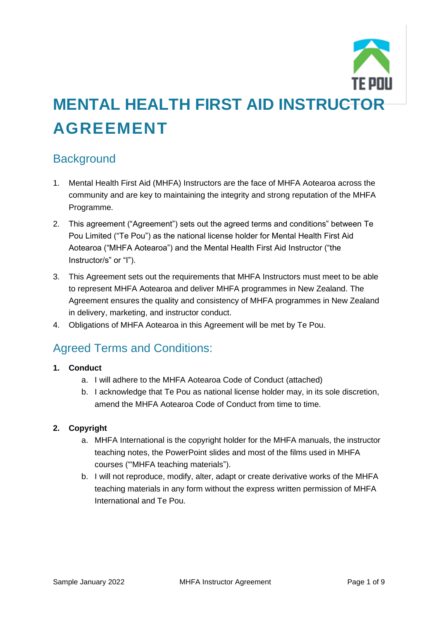

# **MENTAL HEALTH FIRST AID INSTRUCTOR AGREEMENT**

## **Background**

- 1. Mental Health First Aid (MHFA) Instructors are the face of MHFA Aotearoa across the community and are key to maintaining the integrity and strong reputation of the MHFA Programme.
- 2. This agreement ("Agreement") sets out the agreed terms and conditions" between Te Pou Limited ("Te Pou") as the national license holder for Mental Health First Aid Aotearoa ("MHFA Aotearoa") and the Mental Health First Aid Instructor ("the Instructor/s" or "I").
- 3. This Agreement sets out the requirements that MHFA Instructors must meet to be able to represent MHFA Aotearoa and deliver MHFA programmes in New Zealand. The Agreement ensures the quality and consistency of MHFA programmes in New Zealand in delivery, marketing, and instructor conduct.
- 4. Obligations of MHFA Aotearoa in this Agreement will be met by Te Pou.

# Agreed Terms and Conditions:

## **1. Conduct**

- a. I will adhere to the MHFA Aotearoa Code of Conduct (attached)
- b. I acknowledge that Te Pou as national license holder may, in its sole discretion, amend the MHFA Aotearoa Code of Conduct from time to time.

## **2. Copyright**

- a. MHFA International is the copyright holder for the MHFA manuals, the instructor teaching notes, the PowerPoint slides and most of the films used in MHFA courses ("'MHFA teaching materials").
- b. I will not reproduce, modify, alter, adapt or create derivative works of the MHFA teaching materials in any form without the express written permission of MHFA International and Te Pou.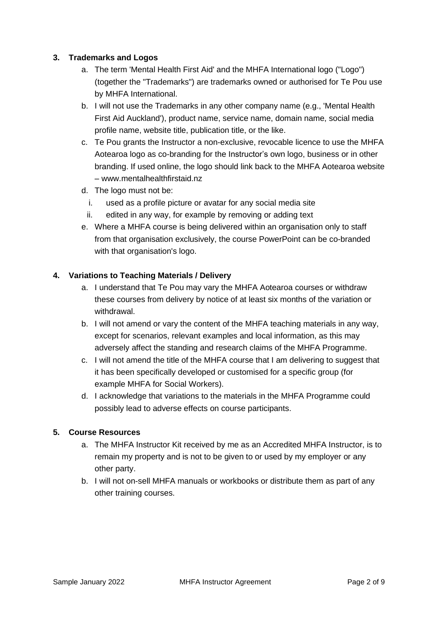#### **3. Trademarks and Logos**

- a. The term 'Mental Health First Aid' and the MHFA International logo ("Logo") (together the "Trademarks") are trademarks owned or authorised for Te Pou use by MHFA International.
- b. I will not use the Trademarks in any other company name (e.g., 'Mental Health First Aid Auckland'), product name, service name, domain name, social media profile name, website title, publication title, or the like.
- c. Te Pou grants the Instructor a non-exclusive, revocable licence to use the MHFA Aotearoa logo as co-branding for the Instructor's own logo, business or in other branding. If used online, the logo should link back to the MHFA Aotearoa website – www.mentalhealthfirstaid.nz
- d. The logo must not be:
	- i. used as a profile picture or avatar for any social media site
	- ii. edited in any way, for example by removing or adding text
- e. Where a MHFA course is being delivered within an organisation only to staff from that organisation exclusively, the course PowerPoint can be co-branded with that organisation's logo.

#### **4. Variations to Teaching Materials / Delivery**

- a. I understand that Te Pou may vary the MHFA Aotearoa courses or withdraw these courses from delivery by notice of at least six months of the variation or withdrawal.
- b. I will not amend or vary the content of the MHFA teaching materials in any way, except for scenarios, relevant examples and local information, as this may adversely affect the standing and research claims of the MHFA Programme.
- c. I will not amend the title of the MHFA course that I am delivering to suggest that it has been specifically developed or customised for a specific group (for example MHFA for Social Workers).
- d. I acknowledge that variations to the materials in the MHFA Programme could possibly lead to adverse effects on course participants.

#### **5. Course Resources**

- a. The MHFA Instructor Kit received by me as an Accredited MHFA Instructor, is to remain my property and is not to be given to or used by my employer or any other party.
- b. I will not on-sell MHFA manuals or workbooks or distribute them as part of any other training courses.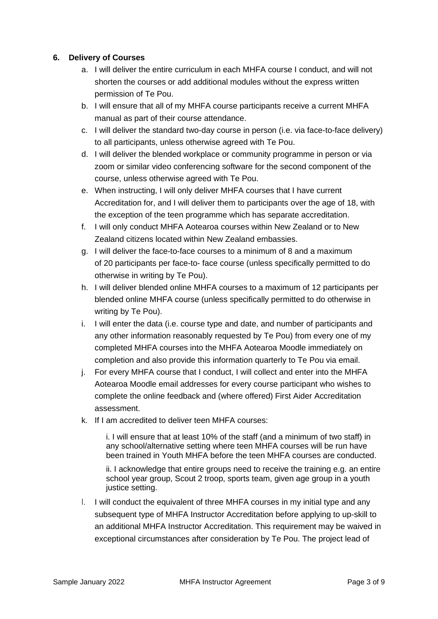#### **6. Delivery of Courses**

- a. I will deliver the entire curriculum in each MHFA course I conduct, and will not shorten the courses or add additional modules without the express written permission of Te Pou.
- b. I will ensure that all of my MHFA course participants receive a current MHFA manual as part of their course attendance.
- c. I will deliver the standard two-day course in person (i.e. via face-to-face delivery) to all participants, unless otherwise agreed with Te Pou.
- d. I will deliver the blended workplace or community programme in person or via zoom or similar video conferencing software for the second component of the course, unless otherwise agreed with Te Pou.
- e. When instructing, I will only deliver MHFA courses that I have current Accreditation for, and I will deliver them to participants over the age of 18, with the exception of the teen programme which has separate accreditation.
- f. I will only conduct MHFA Aotearoa courses within New Zealand or to New Zealand citizens located within New Zealand embassies.
- g. I will deliver the face-to-face courses to a minimum of 8 and a maximum of 20 participants per face-to- face course (unless specifically permitted to do otherwise in writing by Te Pou).
- h. I will deliver blended online MHFA courses to a maximum of 12 participants per blended online MHFA course (unless specifically permitted to do otherwise in writing by Te Pou).
- i. I will enter the data (i.e. course type and date, and number of participants and any other information reasonably requested by Te Pou) from every one of my completed MHFA courses into the MHFA Aotearoa Moodle immediately on completion and also provide this information quarterly to Te Pou via email.
- j. For every MHFA course that I conduct, I will collect and enter into the MHFA Aotearoa Moodle email addresses for every course participant who wishes to complete the online feedback and (where offered) First Aider Accreditation assessment.
- k. If I am accredited to deliver teen MHFA courses:

i. I will ensure that at least 10% of the staff (and a minimum of two staff) in any school/alternative setting where teen MHFA courses will be run have been trained in Youth MHFA before the teen MHFA courses are conducted.

ii. I acknowledge that entire groups need to receive the training e.g. an entire school year group, Scout 2 troop, sports team, given age group in a youth justice setting.

l. I will conduct the equivalent of three MHFA courses in my initial type and any subsequent type of MHFA Instructor Accreditation before applying to up-skill to an additional MHFA Instructor Accreditation. This requirement may be waived in exceptional circumstances after consideration by Te Pou. The project lead of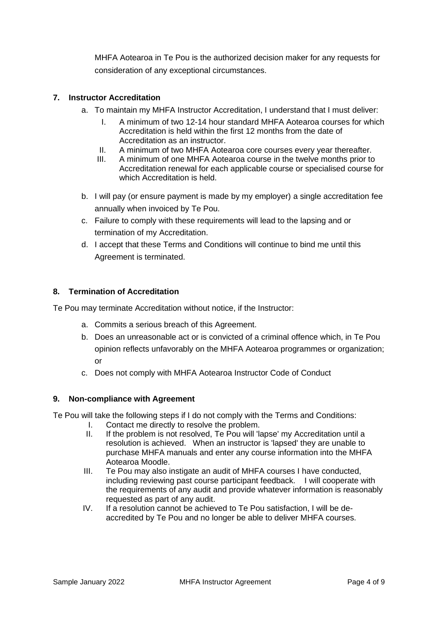MHFA Aotearoa in Te Pou is the authorized decision maker for any requests for consideration of any exceptional circumstances.

#### **7. Instructor Accreditation**

- a. To maintain my MHFA Instructor Accreditation, I understand that I must deliver:
	- I. A minimum of two 12-14 hour standard MHFA Aotearoa courses for which Accreditation is held within the first 12 months from the date of Accreditation as an instructor.
	- II. A minimum of two MHFA Aotearoa core courses every year thereafter.
	- III. A minimum of one MHFA Aotearoa course in the twelve months prior to Accreditation renewal for each applicable course or specialised course for which Accreditation is held.
- b. I will pay (or ensure payment is made by my employer) a single accreditation fee annually when invoiced by Te Pou.
- c. Failure to comply with these requirements will lead to the lapsing and or termination of my Accreditation.
- d. I accept that these Terms and Conditions will continue to bind me until this Agreement is terminated.

#### **8. Termination of Accreditation**

Te Pou may terminate Accreditation without notice, if the Instructor:

- a. Commits a serious breach of this Agreement.
- b. Does an unreasonable act or is convicted of a criminal offence which, in Te Pou opinion reflects unfavorably on the MHFA Aotearoa programmes or organization; or
- c. Does not comply with MHFA Aotearoa Instructor Code of Conduct

#### **9. Non-compliance with Agreement**

Te Pou will take the following steps if I do not comply with the Terms and Conditions:

- I. Contact me directly to resolve the problem.
- II. If the problem is not resolved, Te Pou will 'lapse' my Accreditation until a resolution is achieved. When an instructor is 'lapsed' they are unable to purchase MHFA manuals and enter any course information into the MHFA Aotearoa Moodle.
- III. Te Pou may also instigate an audit of MHFA courses I have conducted, including reviewing past course participant feedback. I will cooperate with the requirements of any audit and provide whatever information is reasonably requested as part of any audit.
- IV. If a resolution cannot be achieved to Te Pou satisfaction, I will be deaccredited by Te Pou and no longer be able to deliver MHFA courses.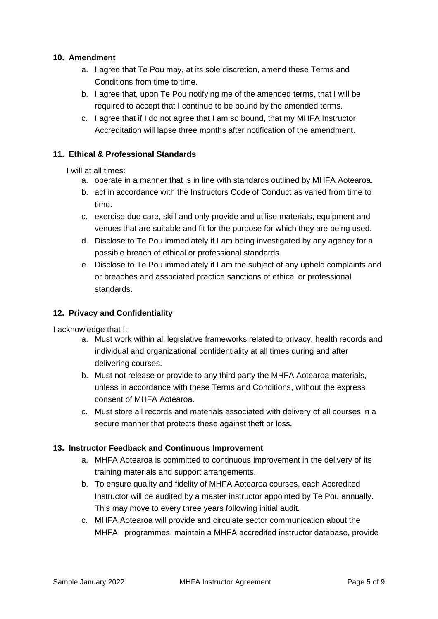#### **10. Amendment**

- a. I agree that Te Pou may, at its sole discretion, amend these Terms and Conditions from time to time.
- b. I agree that, upon Te Pou notifying me of the amended terms, that I will be required to accept that I continue to be bound by the amended terms.
- c. I agree that if I do not agree that I am so bound, that my MHFA Instructor Accreditation will lapse three months after notification of the amendment.

#### **11. Ethical & Professional Standards**

I will at all times:

- a. operate in a manner that is in line with standards outlined by MHFA Aotearoa.
- b. act in accordance with the Instructors Code of Conduct as varied from time to time.
- c. exercise due care, skill and only provide and utilise materials, equipment and venues that are suitable and fit for the purpose for which they are being used.
- d. Disclose to Te Pou immediately if I am being investigated by any agency for a possible breach of ethical or professional standards.
- e. Disclose to Te Pou immediately if I am the subject of any upheld complaints and or breaches and associated practice sanctions of ethical or professional standards.

#### **12. Privacy and Confidentiality**

I acknowledge that I:

- a. Must work within all legislative frameworks related to privacy, health records and individual and organizational confidentiality at all times during and after delivering courses.
- b. Must not release or provide to any third party the MHFA Aotearoa materials, unless in accordance with these Terms and Conditions, without the express consent of MHFA Aotearoa.
- c. Must store all records and materials associated with delivery of all courses in a secure manner that protects these against theft or loss.

#### **13. Instructor Feedback and Continuous Improvement**

- a. MHFA Aotearoa is committed to continuous improvement in the delivery of its training materials and support arrangements.
- b. To ensure quality and fidelity of MHFA Aotearoa courses, each Accredited Instructor will be audited by a master instructor appointed by Te Pou annually. This may move to every three years following initial audit.
- c. MHFA Aotearoa will provide and circulate sector communication about the MHFA programmes, maintain a MHFA accredited instructor database, provide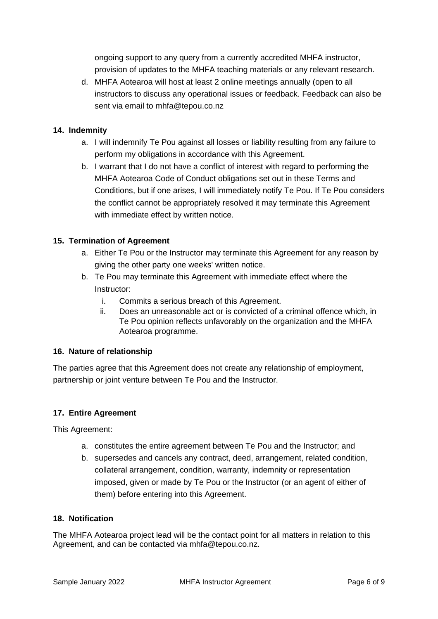ongoing support to any query from a currently accredited MHFA instructor, provision of updates to the MHFA teaching materials or any relevant research.

d. MHFA Aotearoa will host at least 2 online meetings annually (open to all instructors to discuss any operational issues or feedback. Feedback can also be sent via email to [mhfa@tepou.co.nz](mailto:mhfa@tepou.co.nz)

#### **14. Indemnity**

- a. I will indemnify Te Pou against all losses or liability resulting from any failure to perform my obligations in accordance with this Agreement.
- b. I warrant that I do not have a conflict of interest with regard to performing the MHFA Aotearoa Code of Conduct obligations set out in these Terms and Conditions, but if one arises, I will immediately notify Te Pou. If Te Pou considers the conflict cannot be appropriately resolved it may terminate this Agreement with immediate effect by written notice.

#### **15. Termination of Agreement**

- a. Either Te Pou or the Instructor may terminate this Agreement for any reason by giving the other party one weeks' written notice.
- b. Te Pou may terminate this Agreement with immediate effect where the Instructor:
	- i. Commits a serious breach of this Agreement.
	- ii. Does an unreasonable act or is convicted of a criminal offence which, in Te Pou opinion reflects unfavorably on the organization and the MHFA Aotearoa programme.

#### **16. Nature of relationship**

The parties agree that this Agreement does not create any relationship of employment, partnership or joint venture between Te Pou and the Instructor.

#### **17. Entire Agreement**

This Agreement:

- a. constitutes the entire agreement between Te Pou and the Instructor; and
- b. supersedes and cancels any contract, deed, arrangement, related condition, collateral arrangement, condition, warranty, indemnity or representation imposed, given or made by Te Pou or the Instructor (or an agent of either of them) before entering into this Agreement.

#### **18. Notification**

The MHFA Aotearoa project lead will be the contact point for all matters in relation to this Agreement, and can be contacted via mhfa@tepou.co.nz.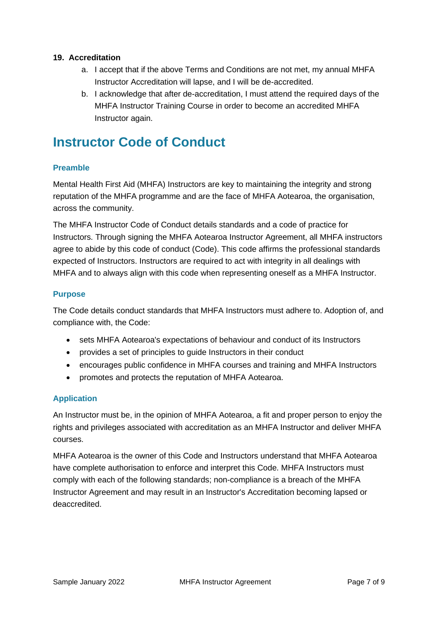#### **19. Accreditation**

- a. I accept that if the above Terms and Conditions are not met, my annual MHFA Instructor Accreditation will lapse, and I will be de-accredited.
- b. I acknowledge that after de-accreditation, I must attend the required days of the MHFA Instructor Training Course in order to become an accredited MHFA Instructor again.

# **Instructor Code of Conduct**

#### **Preamble**

Mental Health First Aid (MHFA) Instructors are key to maintaining the integrity and strong reputation of the MHFA programme and are the face of MHFA Aotearoa, the organisation, across the community.

The MHFA Instructor Code of Conduct details standards and a code of practice for Instructors. Through signing the MHFA Aotearoa Instructor Agreement, all MHFA instructors agree to abide by this code of conduct (Code). This code affirms the professional standards expected of Instructors. Instructors are required to act with integrity in all dealings with MHFA and to always align with this code when representing oneself as a MHFA Instructor.

#### **Purpose**

The Code details conduct standards that MHFA Instructors must adhere to. Adoption of, and compliance with, the Code:

- sets MHFA Aotearoa's expectations of behaviour and conduct of its Instructors
- provides a set of principles to guide Instructors in their conduct
- encourages public confidence in MHFA courses and training and MHFA Instructors
- promotes and protects the reputation of MHFA Aotearoa.

#### **Application**

An Instructor must be, in the opinion of MHFA Aotearoa, a fit and proper person to enjoy the rights and privileges associated with accreditation as an MHFA Instructor and deliver MHFA courses.

MHFA Aotearoa is the owner of this Code and Instructors understand that MHFA Aotearoa have complete authorisation to enforce and interpret this Code. MHFA Instructors must comply with each of the following standards; non-compliance is a breach of the MHFA Instructor Agreement and may result in an Instructor's Accreditation becoming lapsed or deaccredited.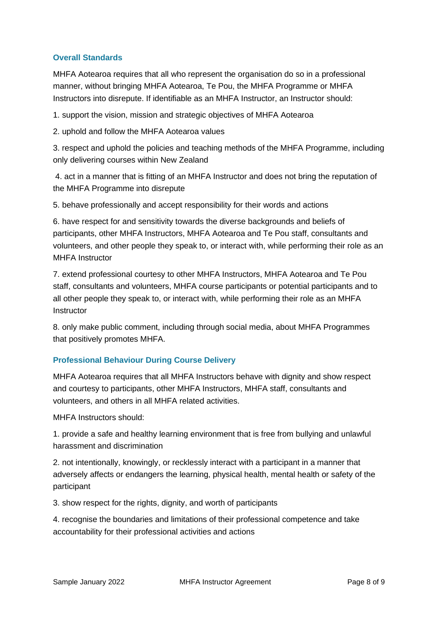#### **Overall Standards**

MHFA Aotearoa requires that all who represent the organisation do so in a professional manner, without bringing MHFA Aotearoa, Te Pou, the MHFA Programme or MHFA Instructors into disrepute. If identifiable as an MHFA Instructor, an Instructor should:

1. support the vision, mission and strategic objectives of MHFA Aotearoa

2. uphold and follow the MHFA Aotearoa values

3. respect and uphold the policies and teaching methods of the MHFA Programme, including only delivering courses within New Zealand

4. act in a manner that is fitting of an MHFA Instructor and does not bring the reputation of the MHFA Programme into disrepute

5. behave professionally and accept responsibility for their words and actions

6. have respect for and sensitivity towards the diverse backgrounds and beliefs of participants, other MHFA Instructors, MHFA Aotearoa and Te Pou staff, consultants and volunteers, and other people they speak to, or interact with, while performing their role as an MHFA Instructor

7. extend professional courtesy to other MHFA Instructors, MHFA Aotearoa and Te Pou staff, consultants and volunteers, MHFA course participants or potential participants and to all other people they speak to, or interact with, while performing their role as an MHFA **Instructor** 

8. only make public comment, including through social media, about MHFA Programmes that positively promotes MHFA.

#### **Professional Behaviour During Course Delivery**

MHFA Aotearoa requires that all MHFA Instructors behave with dignity and show respect and courtesy to participants, other MHFA Instructors, MHFA staff, consultants and volunteers, and others in all MHFA related activities.

MHFA Instructors should:

1. provide a safe and healthy learning environment that is free from bullying and unlawful harassment and discrimination

2. not intentionally, knowingly, or recklessly interact with a participant in a manner that adversely affects or endangers the learning, physical health, mental health or safety of the participant

3. show respect for the rights, dignity, and worth of participants

4. recognise the boundaries and limitations of their professional competence and take accountability for their professional activities and actions